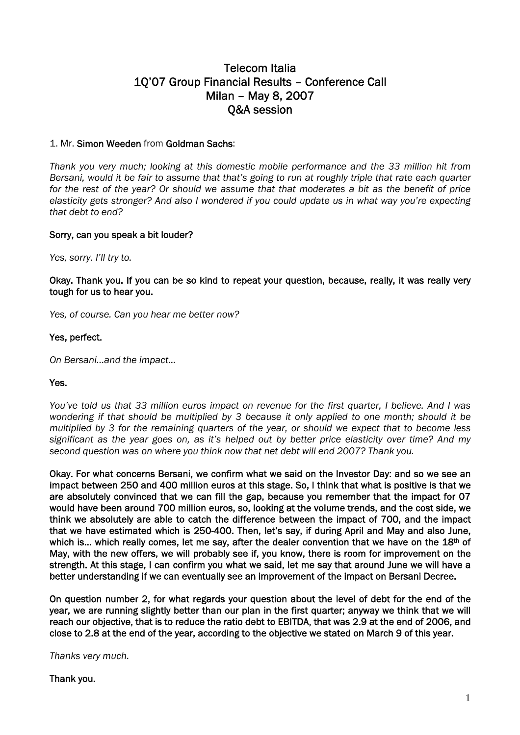# Telecom Italia 1Q'07 Group Financial Results – Conference Call Milan – May 8, 2007 Q&A session

# 1. Mr. Simon Weeden from Goldman Sachs:

*Thank you very much; looking at this domestic mobile performance and the 33 million hit from Bersani, would it be fair to assume that that's going to run at roughly triple that rate each quarter for the rest of the year? Or should we assume that that moderates a bit as the benefit of price elasticity gets stronger? And also I wondered if you could update us in what way you're expecting that debt to end?* 

#### Sorry, can you speak a bit louder?

*Yes, sorry. I'll try to.* 

Okay. Thank you. If you can be so kind to repeat your question, because, really, it was really very tough for us to hear you.

*Yes, of course. Can you hear me better now?* 

#### Yes, perfect.

*On Bersani…and the impact…* 

#### Yes.

*You've told us that 33 million euros impact on revenue for the first quarter, I believe. And I was wondering if that should be multiplied by 3 because it only applied to one month; should it be multiplied by 3 for the remaining quarters of the year, or should we expect that to become less significant as the year goes on, as it's helped out by better price elasticity over time? And my second question was on where you think now that net debt will end 2007? Thank you.* 

Okay. For what concerns Bersani, we confirm what we said on the Investor Day: and so we see an impact between 250 and 400 million euros at this stage. So, I think that what is positive is that we are absolutely convinced that we can fill the gap, because you remember that the impact for 07 would have been around 700 million euros, so, looking at the volume trends, and the cost side, we think we absolutely are able to catch the difference between the impact of 700, and the impact that we have estimated which is 250-400. Then, let's say, if during April and May and also June, which is... which really comes, let me say, after the dealer convention that we have on the 18<sup>th</sup> of May, with the new offers, we will probably see if, you know, there is room for improvement on the strength. At this stage, I can confirm you what we said, let me say that around June we will have a better understanding if we can eventually see an improvement of the impact on Bersani Decree.

On question number 2, for what regards your question about the level of debt for the end of the year, we are running slightly better than our plan in the first quarter; anyway we think that we will reach our objective, that is to reduce the ratio debt to EBITDA, that was 2.9 at the end of 2006, and close to 2.8 at the end of the year, according to the objective we stated on March 9 of this year.

*Thanks very much.* 

Thank you.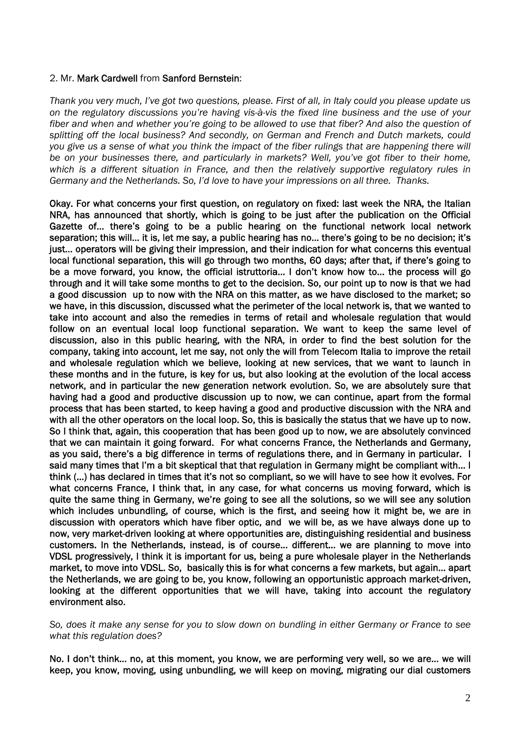#### 2. Mr. Mark Cardwell from Sanford Bernstein:

*Thank you very much, I've got two questions, please. First of all, in Italy could you please update us on the regulatory discussions you're having vis-à-vis the fixed line business and the use of your fiber and when and whether you're going to be allowed to use that fiber? And also the question of splitting off the local business? And secondly, on German and French and Dutch markets, could you give us a sense of what you think the impact of the fiber rulings that are happening there will be on your businesses there, and particularly in markets? Well, you've got fiber to their home, which is a different situation in France, and then the relatively supportive regulatory rules in Germany and the Netherlands. So, I'd love to have your impressions on all three. Thanks.* 

Okay. For what concerns your first question, on regulatory on fixed: last week the NRA, the Italian NRA, has announced that shortly, which is going to be just after the publication on the Official Gazette of… there's going to be a public hearing on the functional network local network separation; this will… it is, let me say, a public hearing has no… there's going to be no decision; it's just… operators will be giving their impression, and their indication for what concerns this eventual local functional separation, this will go through two months, 60 days; after that, if there's going to be a move forward, you know, the official istruttoria… I don't know how to… the process will go through and it will take some months to get to the decision. So, our point up to now is that we had a good discussion up to now with the NRA on this matter, as we have disclosed to the market; so we have, in this discussion, discussed what the perimeter of the local network is, that we wanted to take into account and also the remedies in terms of retail and wholesale regulation that would follow on an eventual local loop functional separation. We want to keep the same level of discussion, also in this public hearing, with the NRA, in order to find the best solution for the company, taking into account, let me say, not only the will from Telecom Italia to improve the retail and wholesale regulation which we believe, looking at new services, that we want to launch in these months and in the future, is key for us, but also looking at the evolution of the local access network, and in particular the new generation network evolution. So, we are absolutely sure that having had a good and productive discussion up to now, we can continue, apart from the formal process that has been started, to keep having a good and productive discussion with the NRA and with all the other operators on the local loop. So, this is basically the status that we have up to now. So I think that, again, this cooperation that has been good up to now, we are absolutely convinced that we can maintain it going forward. For what concerns France, the Netherlands and Germany, as you said, there's a big difference in terms of regulations there, and in Germany in particular. I said many times that I'm a bit skeptical that that regulation in Germany might be compliant with… I think (…) has declared in times that it's not so compliant, so we will have to see how it evolves. For what concerns France, I think that, in any case, for what concerns us moving forward, which is quite the same thing in Germany, we're going to see all the solutions, so we will see any solution which includes unbundling, of course, which is the first, and seeing how it might be, we are in discussion with operators which have fiber optic, and we will be, as we have always done up to now, very market-driven looking at where opportunities are, distinguishing residential and business customers. In the Netherlands, instead, is of course… different… we are planning to move into VDSL progressively, I think it is important for us, being a pure wholesale player in the Netherlands market, to move into VDSL. So, basically this is for what concerns a few markets, but again… apart the Netherlands, we are going to be, you know, following an opportunistic approach market-driven, looking at the different opportunities that we will have, taking into account the regulatory environment also.

*So, does it make any sense for you to slow down on bundling in either Germany or France to see what this regulation does?* 

No. I don't think… no, at this moment, you know, we are performing very well, so we are… we will keep, you know, moving, using unbundling, we will keep on moving, migrating our dial customers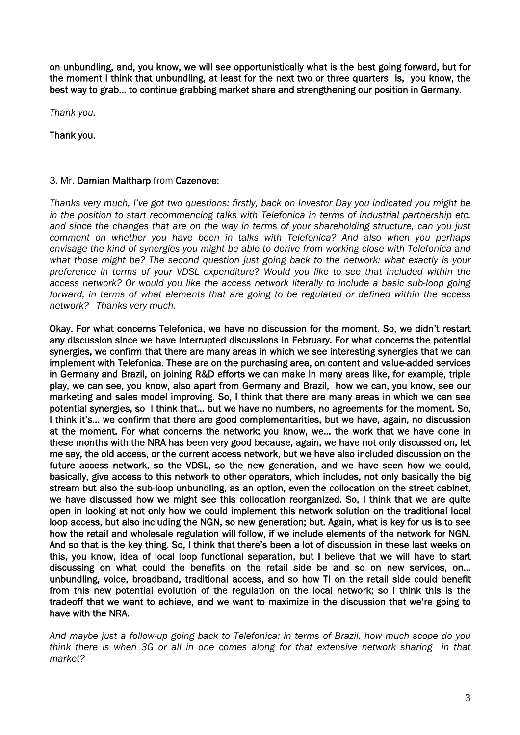on unbundling, and, you know, we will see opportunistically what is the best going forward, but for the moment I think that unbundling, at least for the next two or three quarters is, you know, the best way to grab… to continue grabbing market share and strengthening our position in Germany.

*Thank you.* 

Thank you.

## 3. Mr. Damian Maltharp from Cazenove:

*Thanks very much, I've got two questions: firstly, back on Investor Day you indicated you might be in the position to start recommencing talks with Telefonica in terms of industrial partnership etc. and since the changes that are on the way in terms of your shareholding structure, can you just comment on whether you have been in talks with Telefonica? And also when you perhaps envisage the kind of synergies you might be able to derive from working close with Telefonica and what those might be? The second question just going back to the network: what exactly is your preference in terms of your VDSL expenditure? Would you like to see that included within the access network? Or would you like the access network literally to include a basic sub-loop going forward, in terms of what elements that are going to be regulated or defined within the access network? Thanks very much.* 

Okay. For what concerns Telefonica, we have no discussion for the moment. So, we didn't restart any discussion since we have interrupted discussions in February. For what concerns the potential synergies, we confirm that there are many areas in which we see interesting synergies that we can implement with Telefonica. These are on the purchasing area, on content and value-added services in Germany and Brazil, on joining R&D efforts we can make in many areas like, for example, triple play, we can see, you know, also apart from Germany and Brazil, how we can, you know, see our marketing and sales model improving. So, I think that there are many areas in which we can see potential synergies, so I think that… but we have no numbers, no agreements for the moment. So, I think it's… we confirm that there are good complementarities, but we have, again, no discussion at the moment. For what concerns the network: you know, we… the work that we have done in these months with the NRA has been very good because, again, we have not only discussed on, let me say, the old access, or the current access network, but we have also included discussion on the future access network, so the VDSL, so the new generation, and we have seen how we could, basically, give access to this network to other operators, which includes, not only basically the big stream but also the sub-loop unbundling, as an option, even the collocation on the street cabinet, we have discussed how we might see this collocation reorganized. So, I think that we are quite open in looking at not only how we could implement this network solution on the traditional local loop access, but also including the NGN, so new generation; but. Again, what is key for us is to see how the retail and wholesale regulation will follow, if we include elements of the network for NGN. And so that is the key thing. So, I think that there's been a lot of discussion in these last weeks on this, you know, idea of local loop functional separation, but I believe that we will have to start discussing on what could the benefits on the retail side be and so on new services, on… unbundling, voice, broadband, traditional access, and so how TI on the retail side could benefit from this new potential evolution of the regulation on the local network; so I think this is the tradeoff that we want to achieve, and we want to maximize in the discussion that we're going to have with the NRA.

*And maybe just a follow-up going back to Telefonica: in terms of Brazil, how much scope do you think there is when 3G or all in one comes along for that extensive network sharing in that market?*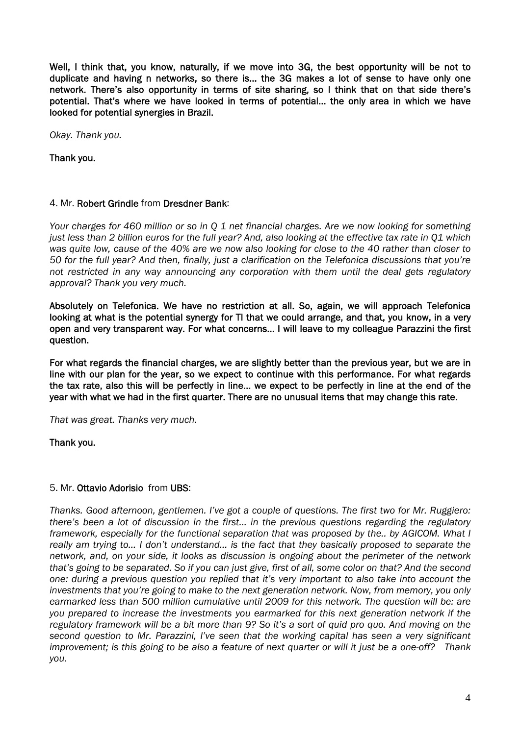Well, I think that, you know, naturally, if we move into 3G, the best opportunity will be not to duplicate and having n networks, so there is… the 3G makes a lot of sense to have only one network. There's also opportunity in terms of site sharing, so I think that on that side there's potential. That's where we have looked in terms of potential… the only area in which we have looked for potential synergies in Brazil.

*Okay. Thank you.* 

Thank you.

# 4. Mr. Robert Grindle from Dresdner Bank:

*Your charges for 460 million or so in Q 1 net financial charges. Are we now looking for something just less than 2 billion euros for the full year? And, also looking at the effective tax rate in Q1 which was quite low, cause of the 40% are we now also looking for close to the 40 rather than closer to 50 for the full year? And then, finally, just a clarification on the Telefonica discussions that you're not restricted in any way announcing any corporation with them until the deal gets regulatory approval? Thank you very much.* 

Absolutely on Telefonica. We have no restriction at all. So, again, we will approach Telefonica looking at what is the potential synergy for TI that we could arrange, and that, you know, in a very open and very transparent way. For what concerns… I will leave to my colleague Parazzini the first question.

For what regards the financial charges, we are slightly better than the previous year, but we are in line with our plan for the year, so we expect to continue with this performance. For what regards the tax rate, also this will be perfectly in line… we expect to be perfectly in line at the end of the year with what we had in the first quarter. There are no unusual items that may change this rate.

*That was great. Thanks very much.* 

Thank you.

# 5. Mr. Ottavio Adorisio from UBS:

*Thanks. Good afternoon, gentlemen. I've got a couple of questions. The first two for Mr. Ruggiero: there's been a lot of discussion in the first… in the previous questions regarding the regulatory framework, especially for the functional separation that was proposed by the.. by AGICOM. What I really am trying to… I don't understand... is the fact that they basically proposed to separate the network, and, on your side, it looks as discussion is ongoing about the perimeter of the network that's going to be separated. So if you can just give, first of all, some color on that? And the second one: during a previous question you replied that it's very important to also take into account the investments that you're going to make to the next generation network. Now, from memory, you only earmarked less than 500 million cumulative until 2009 for this network. The question will be: are you prepared to increase the investments you earmarked for this next generation network if the regulatory framework will be a bit more than 9? So it's a sort of quid pro quo. And moving on the second question to Mr. Parazzini, I've seen that the working capital has seen a very significant improvement; is this going to be also a feature of next quarter or will it just be a one-off? Thank you.*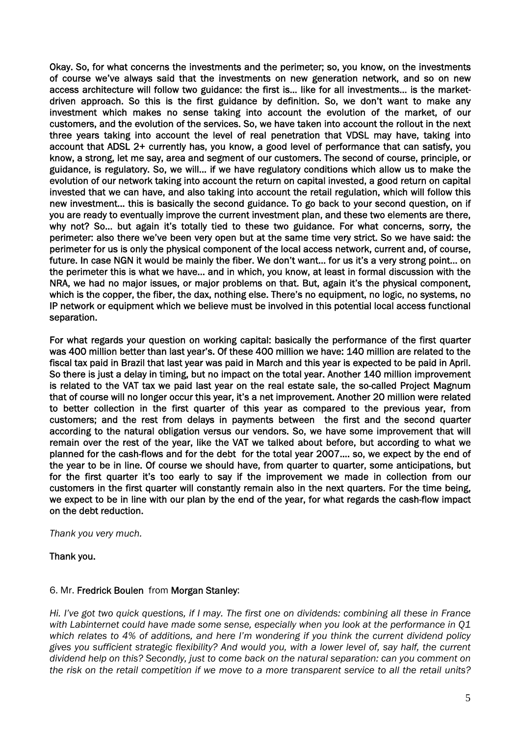Okay. So, for what concerns the investments and the perimeter; so, you know, on the investments of course we've always said that the investments on new generation network, and so on new access architecture will follow two guidance: the first is… like for all investments… is the marketdriven approach. So this is the first guidance by definition. So, we don't want to make any investment which makes no sense taking into account the evolution of the market, of our customers, and the evolution of the services. So, we have taken into account the rollout in the next three years taking into account the level of real penetration that VDSL may have, taking into account that ADSL 2+ currently has, you know, a good level of performance that can satisfy, you know, a strong, let me say, area and segment of our customers. The second of course, principle, or guidance, is regulatory. So, we will… if we have regulatory conditions which allow us to make the evolution of our network taking into account the return on capital invested, a good return on capital invested that we can have, and also taking into account the retail regulation, which will follow this new investment… this is basically the second guidance. To go back to your second question, on if you are ready to eventually improve the current investment plan, and these two elements are there, why not? So… but again it's totally tied to these two guidance. For what concerns, sorry, the perimeter: also there we've been very open but at the same time very strict. So we have said: the perimeter for us is only the physical component of the local access network, current and, of course, future. In case NGN it would be mainly the fiber. We don't want… for us it's a very strong point… on the perimeter this is what we have… and in which, you know, at least in formal discussion with the NRA, we had no major issues, or major problems on that. But, again it's the physical component, which is the copper, the fiber, the dax, nothing else. There's no equipment, no logic, no systems, no IP network or equipment which we believe must be involved in this potential local access functional separation.

For what regards your question on working capital: basically the performance of the first quarter was 400 million better than last year's. Of these 400 million we have: 140 million are related to the fiscal tax paid in Brazil that last year was paid in March and this year is expected to be paid in April. So there is just a delay in timing, but no impact on the total year. Another 140 million improvement is related to the VAT tax we paid last year on the real estate sale, the so-called Project Magnum that of course will no longer occur this year, it's a net improvement. Another 20 million were related to better collection in the first quarter of this year as compared to the previous year, from customers; and the rest from delays in payments between the first and the second quarter according to the natural obligation versus our vendors. So, we have some improvement that will remain over the rest of the year, like the VAT we talked about before, but according to what we planned for the cash-flows and for the debt for the total year 2007…. so, we expect by the end of the year to be in line. Of course we should have, from quarter to quarter, some anticipations, but for the first quarter it's too early to say if the improvement we made in collection from our customers in the first quarter will constantly remain also in the next quarters. For the time being, we expect to be in line with our plan by the end of the year, for what regards the cash-flow impact on the debt reduction.

*Thank you very much.* 

Thank you.

#### 6. Mr. Fredrick Boulen from Morgan Stanley:

*Hi. I've got two quick questions, if I may. The first one on dividends: combining all these in France with Labinternet could have made some sense, especially when you look at the performance in Q1 which relates to 4% of additions, and here I'm wondering if you think the current dividend policy gives you sufficient strategic flexibility? And would you, with a lower level of, say half, the current dividend help on this? Secondly, just to come back on the natural separation: can you comment on the risk on the retail competition if we move to a more transparent service to all the retail units?*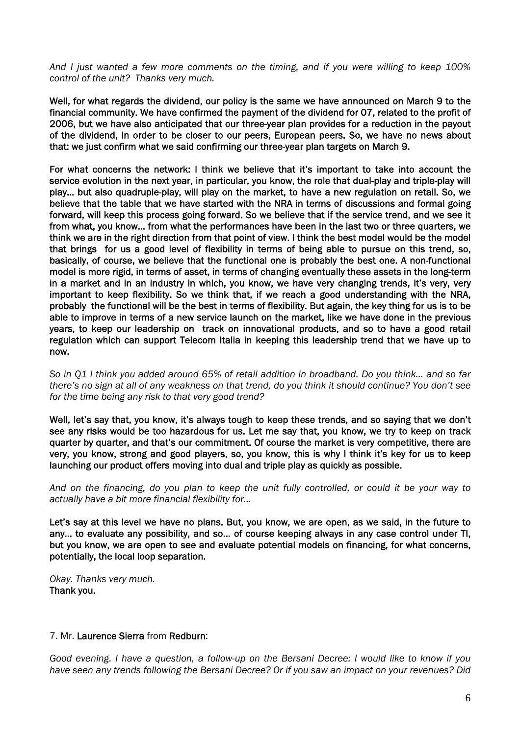*And I just wanted a few more comments on the timing, and if you were willing to keep 100% control of the unit? Thanks very much.* 

Well, for what regards the dividend, our policy is the same we have announced on March 9 to the financial community. We have confirmed the payment of the dividend for 07, related to the profit of 2006, but we have also anticipated that our three-year plan provides for a reduction in the payout of the dividend, in order to be closer to our peers, European peers. So, we have no news about that: we just confirm what we said confirming our three-year plan targets on March 9.

For what concerns the network: I think we believe that it's important to take into account the service evolution in the next year, in particular, you know, the role that dual-play and triple-play will play… but also quadruple-play, will play on the market, to have a new regulation on retail. So, we believe that the table that we have started with the NRA in terms of discussions and formal going forward, will keep this process going forward. So we believe that if the service trend, and we see it from what, you know… from what the performances have been in the last two or three quarters, we think we are in the right direction from that point of view. I think the best model would be the model that brings for us a good level of flexibility in terms of being able to pursue on this trend, so, basically, of course, we believe that the functional one is probably the best one. A non-functional model is more rigid, in terms of asset, in terms of changing eventually these assets in the long-term in a market and in an industry in which, you know, we have very changing trends, it's very, very important to keep flexibility. So we think that, if we reach a good understanding with the NRA, probably the functional will be the best in terms of flexibility. But again, the key thing for us is to be able to improve in terms of a new service launch on the market, like we have done in the previous years, to keep our leadership on track on innovational products, and so to have a good retail regulation which can support Telecom Italia in keeping this leadership trend that we have up to now.

*So in Q1 I think you added around 65% of retail addition in broadband. Do you think… and so far there's no sign at all of any weakness on that trend, do you think it should continue? You don't see for the time being any risk to that very good trend?* 

Well, let's say that, you know, it's always tough to keep these trends, and so saying that we don't see any risks would be too hazardous for us. Let me say that, you know, we try to keep on track quarter by quarter, and that's our commitment. Of course the market is very competitive, there are very, you know, strong and good players, so, you know, this is why I think it's key for us to keep launching our product offers moving into dual and triple play as quickly as possible.

*And on the financing, do you plan to keep the unit fully controlled, or could it be your way to actually have a bit more financial flexibility for…* 

Let's say at this level we have no plans. But, you know, we are open, as we said, in the future to any… to evaluate any possibility, and so… of course keeping always in any case control under TI, but you know, we are open to see and evaluate potential models on financing, for what concerns, potentially, the local loop separation.

*Okay. Thanks very much.*  Thank you.

#### 7. Mr. Laurence Sierra from Redburn:

*Good evening. I have a question, a follow-up on the Bersani Decree: I would like to know if you have seen any trends following the Bersani Decree? Or if you saw an impact on your revenues? Did*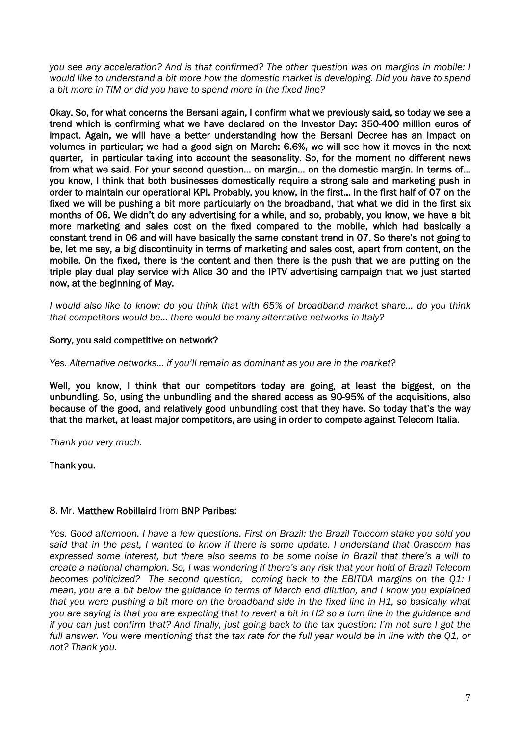*you see any acceleration? And is that confirmed? The other question was on margins in mobile: I would like to understand a bit more how the domestic market is developing. Did you have to spend a bit more in TIM or did you have to spend more in the fixed line?* 

Okay. So, for what concerns the Bersani again, I confirm what we previously said, so today we see a trend which is confirming what we have declared on the Investor Day: 350-400 million euros of impact. Again, we will have a better understanding how the Bersani Decree has an impact on volumes in particular; we had a good sign on March: 6.6%, we will see how it moves in the next quarter, in particular taking into account the seasonality. So, for the moment no different news from what we said. For your second question… on margin… on the domestic margin. In terms of… you know, I think that both businesses domestically require a strong sale and marketing push in order to maintain our operational KPI. Probably, you know, in the first… in the first half of 07 on the fixed we will be pushing a bit more particularly on the broadband, that what we did in the first six months of 06. We didn't do any advertising for a while, and so, probably, you know, we have a bit more marketing and sales cost on the fixed compared to the mobile, which had basically a constant trend in 06 and will have basically the same constant trend in 07. So there's not going to be, let me say, a big discontinuity in terms of marketing and sales cost, apart from content, on the mobile. On the fixed, there is the content and then there is the push that we are putting on the triple play dual play service with Alice 30 and the IPTV advertising campaign that we just started now, at the beginning of May.

*I would also like to know: do you think that with 65% of broadband market share… do you think that competitors would be… there would be many alternative networks in Italy?* 

#### Sorry, you said competitive on network?

*Yes. Alternative networks… if you'll remain as dominant as you are in the market?* 

Well, you know, I think that our competitors today are going, at least the biggest, on the unbundling. So, using the unbundling and the shared access as 90-95% of the acquisitions, also because of the good, and relatively good unbundling cost that they have. So today that's the way that the market, at least major competitors, are using in order to compete against Telecom Italia.

*Thank you very much.* 

Thank you.

#### 8. Mr. Matthew Robillaird from BNP Paribas:

*Yes. Good afternoon. I have a few questions. First on Brazil: the Brazil Telecom stake you sold you said that in the past, I wanted to know if there is some update. I understand that Orascom has expressed some interest, but there also seems to be some noise in Brazil that there's a will to create a national champion. So, I was wondering if there's any risk that your hold of Brazil Telecom becomes politicized? The second question, coming back to the EBITDA margins on the Q1: I mean, you are a bit below the guidance in terms of March end dilution, and I know you explained that you were pushing a bit more on the broadband side in the fixed line in H1, so basically what you are saying is that you are expecting that to revert a bit in H2 so a turn line in the guidance and if you can just confirm that? And finally, just going back to the tax question: I'm not sure I got the full answer. You were mentioning that the tax rate for the full year would be in line with the Q1, or not? Thank you.*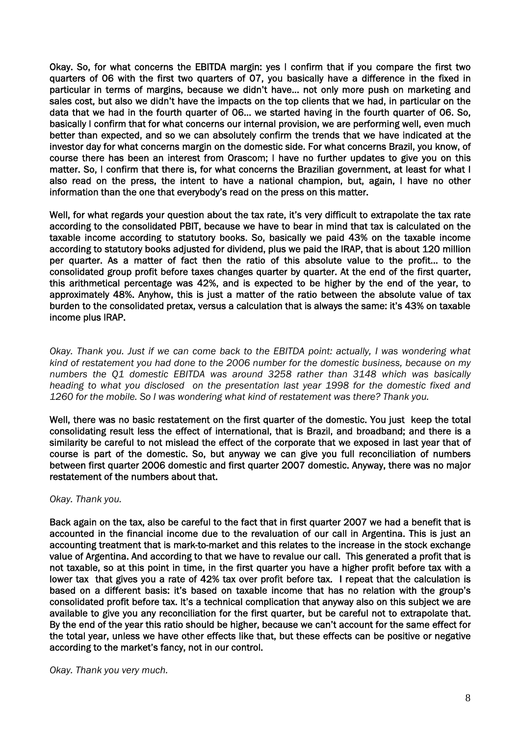Okay. So, for what concerns the EBITDA margin: yes I confirm that if you compare the first two quarters of 06 with the first two quarters of 07, you basically have a difference in the fixed in particular in terms of margins, because we didn't have… not only more push on marketing and sales cost, but also we didn't have the impacts on the top clients that we had, in particular on the data that we had in the fourth quarter of 06… we started having in the fourth quarter of 06. So, basically I confirm that for what concerns our internal provision, we are performing well, even much better than expected, and so we can absolutely confirm the trends that we have indicated at the investor day for what concerns margin on the domestic side. For what concerns Brazil, you know, of course there has been an interest from Orascom; I have no further updates to give you on this matter. So, I confirm that there is, for what concerns the Brazilian government, at least for what I also read on the press, the intent to have a national champion, but, again, I have no other information than the one that everybody's read on the press on this matter.

Well, for what regards your question about the tax rate, it's very difficult to extrapolate the tax rate according to the consolidated PBIT, because we have to bear in mind that tax is calculated on the taxable income according to statutory books. So, basically we paid 43% on the taxable income according to statutory books adjusted for dividend, plus we paid the IRAP, that is about 120 million per quarter. As a matter of fact then the ratio of this absolute value to the profit… to the consolidated group profit before taxes changes quarter by quarter. At the end of the first quarter, this arithmetical percentage was 42%, and is expected to be higher by the end of the year, to approximately 48%. Anyhow, this is just a matter of the ratio between the absolute value of tax burden to the consolidated pretax, versus a calculation that is always the same: it's 43% on taxable income plus IRAP.

*Okay. Thank you. Just if we can come back to the EBITDA point: actually, I was wondering what kind of restatement you had done to the 2006 number for the domestic business, because on my numbers the Q1 domestic EBITDA was around 3258 rather than 3148 which was basically heading to what you disclosed on the presentation last year 1998 for the domestic fixed and 1260 for the mobile. So I was wondering what kind of restatement was there? Thank you.* 

Well, there was no basic restatement on the first quarter of the domestic. You just keep the total consolidating result less the effect of international, that is Brazil, and broadband; and there is a similarity be careful to not mislead the effect of the corporate that we exposed in last year that of course is part of the domestic. So, but anyway we can give you full reconciliation of numbers between first quarter 2006 domestic and first quarter 2007 domestic. Anyway, there was no major restatement of the numbers about that.

#### *Okay. Thank you.*

Back again on the tax, also be careful to the fact that in first quarter 2007 we had a benefit that is accounted in the financial income due to the revaluation of our call in Argentina. This is just an accounting treatment that is mark-to-market and this relates to the increase in the stock exchange value of Argentina. And according to that we have to revalue our call. This generated a profit that is not taxable, so at this point in time, in the first quarter you have a higher profit before tax with a lower tax that gives you a rate of 42% tax over profit before tax. I repeat that the calculation is based on a different basis: it's based on taxable income that has no relation with the group's consolidated profit before tax. It's a technical complication that anyway also on this subject we are available to give you any reconciliation for the first quarter, but be careful not to extrapolate that. By the end of the year this ratio should be higher, because we can't account for the same effect for the total year, unless we have other effects like that, but these effects can be positive or negative according to the market's fancy, not in our control.

*Okay. Thank you very much.*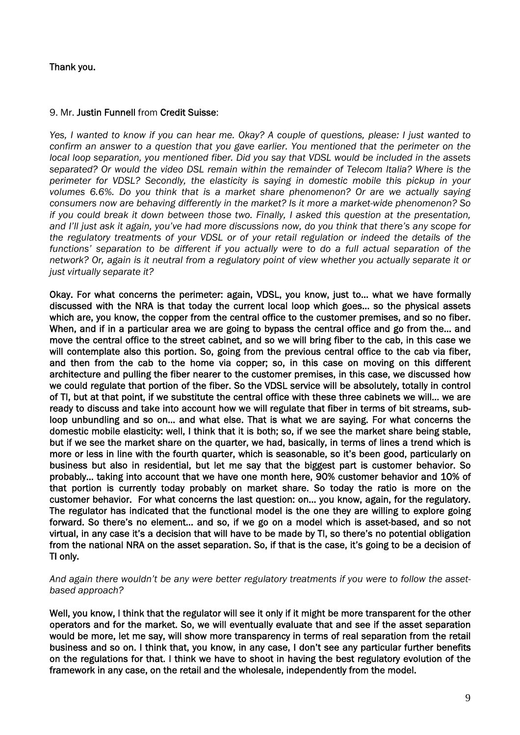# Thank you.

#### 9. Mr. Justin Funnell from Credit Suisse:

*Yes, I wanted to know if you can hear me. Okay? A couple of questions, please: I just wanted to confirm an answer to a question that you gave earlier. You mentioned that the perimeter on the local loop separation, you mentioned fiber. Did you say that VDSL would be included in the assets separated? Or would the video DSL remain within the remainder of Telecom Italia? Where is the perimeter for VDSL? Secondly, the elasticity is saying in domestic mobile this pickup in your volumes 6.6%. Do you think that is a market share phenomenon? Or are we actually saying consumers now are behaving differently in the market? Is it more a market-wide phenomenon? So if you could break it down between those two. Finally, I asked this question at the presentation, and I'll just ask it again, you've had more discussions now, do you think that there's any scope for the regulatory treatments of your VDSL or of your retail regulation or indeed the details of the functions' separation to be different if you actually were to do a full actual separation of the network? Or, again is it neutral from a regulatory point of view whether you actually separate it or just virtually separate it?* 

Okay. For what concerns the perimeter: again, VDSL, you know, just to… what we have formally discussed with the NRA is that today the current local loop which goes… so the physical assets which are, you know, the copper from the central office to the customer premises, and so no fiber. When, and if in a particular area we are going to bypass the central office and go from the… and move the central office to the street cabinet, and so we will bring fiber to the cab, in this case we will contemplate also this portion. So, going from the previous central office to the cab via fiber, and then from the cab to the home via copper; so, in this case on moving on this different architecture and pulling the fiber nearer to the customer premises, in this case, we discussed how we could regulate that portion of the fiber. So the VDSL service will be absolutely, totally in control of TI, but at that point, if we substitute the central office with these three cabinets we will… we are ready to discuss and take into account how we will regulate that fiber in terms of bit streams, subloop unbundling and so on… and what else. That is what we are saying. For what concerns the domestic mobile elasticity: well, I think that it is both; so, if we see the market share being stable, but if we see the market share on the quarter, we had, basically, in terms of lines a trend which is more or less in line with the fourth quarter, which is seasonable, so it's been good, particularly on business but also in residential, but let me say that the biggest part is customer behavior. So probably… taking into account that we have one month here, 90% customer behavior and 10% of that portion is currently today probably on market share. So today the ratio is more on the customer behavior. For what concerns the last question: on… you know, again, for the regulatory. The regulator has indicated that the functional model is the one they are willing to explore going forward. So there's no element… and so, if we go on a model which is asset-based, and so not virtual, in any case it's a decision that will have to be made by TI, so there's no potential obligation from the national NRA on the asset separation. So, if that is the case, it's going to be a decision of TI only.

#### *And again there wouldn't be any were better regulatory treatments if you were to follow the assetbased approach?*

Well, you know, I think that the regulator will see it only if it might be more transparent for the other operators and for the market. So, we will eventually evaluate that and see if the asset separation would be more, let me say, will show more transparency in terms of real separation from the retail business and so on. I think that, you know, in any case, I don't see any particular further benefits on the regulations for that. I think we have to shoot in having the best regulatory evolution of the framework in any case, on the retail and the wholesale, independently from the model.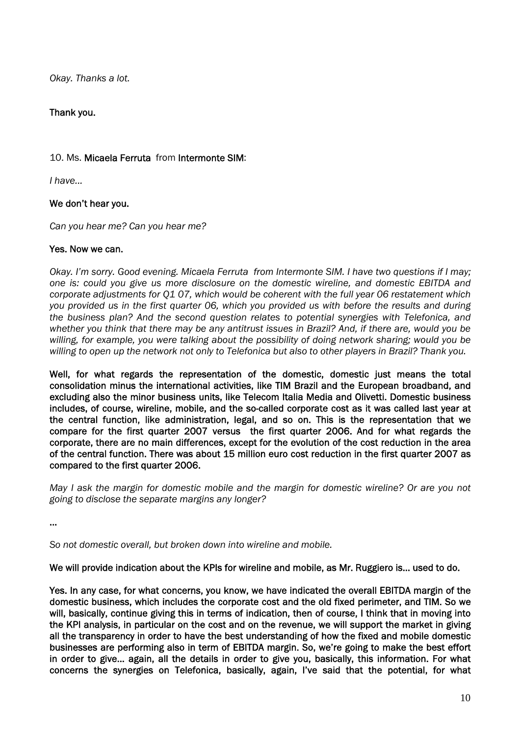*Okay. Thanks a lot.* 

# Thank you.

# 10. Ms. Micaela Ferruta from Intermonte SIM:

*I have...* 

# We don't hear you.

*Can you hear me? Can you hear me?* 

#### Yes. Now we can.

*Okay. I'm sorry. Good evening. Micaela Ferruta from Intermonte SIM. I have two questions if I may; one is: could you give us more disclosure on the domestic wireline, and domestic EBITDA and corporate adjustments for Q1 07, which would be coherent with the full year 06 restatement which you provided us in the first quarter 06, which you provided us with before the results and during the business plan? And the second question relates to potential synergies with Telefonica, and whether you think that there may be any antitrust issues in Brazil? And, if there are, would you be willing, for example, you were talking about the possibility of doing network sharing; would you be willing to open up the network not only to Telefonica but also to other players in Brazil? Thank you.* 

Well, for what regards the representation of the domestic, domestic just means the total consolidation minus the international activities, like TIM Brazil and the European broadband, and excluding also the minor business units, like Telecom Italia Media and Olivetti. Domestic business includes, of course, wireline, mobile, and the so-called corporate cost as it was called last year at the central function, like administration, legal, and so on. This is the representation that we compare for the first quarter 2007 versus the first quarter 2006. And for what regards the corporate, there are no main differences, except for the evolution of the cost reduction in the area of the central function. There was about 15 million euro cost reduction in the first quarter 2007 as compared to the first quarter 2006.

*May I ask the margin for domestic mobile and the margin for domestic wireline? Or are you not going to disclose the separate margins any longer?* 

…

*So not domestic overall, but broken down into wireline and mobile.* 

We will provide indication about the KPIs for wireline and mobile, as Mr. Ruggiero is… used to do.

Yes. In any case, for what concerns, you know, we have indicated the overall EBITDA margin of the domestic business, which includes the corporate cost and the old fixed perimeter, and TIM. So we will, basically, continue giving this in terms of indication, then of course, I think that in moving into the KPI analysis, in particular on the cost and on the revenue, we will support the market in giving all the transparency in order to have the best understanding of how the fixed and mobile domestic businesses are performing also in term of EBITDA margin. So, we're going to make the best effort in order to give… again, all the details in order to give you, basically, this information. For what concerns the synergies on Telefonica, basically, again, I've said that the potential, for what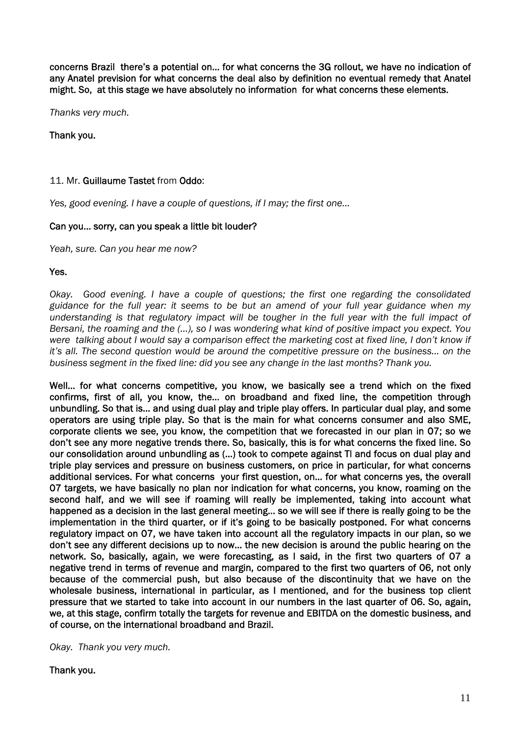concerns Brazil there's a potential on… for what concerns the 3G rollout, we have no indication of any Anatel prevision for what concerns the deal also by definition no eventual remedy that Anatel might. So, at this stage we have absolutely no information for what concerns these elements.

*Thanks very much.* 

## Thank you.

## 11. Mr. Guillaume Tastet from Oddo:

*Yes, good evening. I have a couple of questions, if I may; the first one…* 

#### Can you… sorry, can you speak a little bit louder?

*Yeah, sure. Can you hear me now?* 

#### Yes.

*Okay. Good evening. I have a couple of questions; the first one regarding the consolidated guidance for the full year: it seems to be but an amend of your full year guidance when my understanding is that regulatory impact will be tougher in the full year with the full impact of Bersani, the roaming and the (…), so I was wondering what kind of positive impact you expect. You were talking about I would say a comparison effect the marketing cost at fixed line, I don't know if it's all. The second question would be around the competitive pressure on the business… on the business segment in the fixed line: did you see any change in the last months? Thank you.* 

Well… for what concerns competitive, you know, we basically see a trend which on the fixed confirms, first of all, you know, the… on broadband and fixed line, the competition through unbundling. So that is… and using dual play and triple play offers. In particular dual play, and some operators are using triple play. So that is the main for what concerns consumer and also SME, corporate clients we see, you know, the competition that we forecasted in our plan in 07; so we don't see any more negative trends there. So, basically, this is for what concerns the fixed line. So our consolidation around unbundling as (…) took to compete against TI and focus on dual play and triple play services and pressure on business customers, on price in particular, for what concerns additional services. For what concerns your first question, on… for what concerns yes, the overall 07 targets, we have basically no plan nor indication for what concerns, you know, roaming on the second half, and we will see if roaming will really be implemented, taking into account what happened as a decision in the last general meeting… so we will see if there is really going to be the implementation in the third quarter, or if it's going to be basically postponed. For what concerns regulatory impact on 07, we have taken into account all the regulatory impacts in our plan, so we don't see any different decisions up to now… the new decision is around the public hearing on the network. So, basically, again, we were forecasting, as I said, in the first two quarters of 07 a negative trend in terms of revenue and margin, compared to the first two quarters of 06, not only because of the commercial push, but also because of the discontinuity that we have on the wholesale business, international in particular, as I mentioned, and for the business top client pressure that we started to take into account in our numbers in the last quarter of 06. So, again, we, at this stage, confirm totally the targets for revenue and EBITDA on the domestic business, and of course, on the international broadband and Brazil.

*Okay. Thank you very much.* 

Thank you.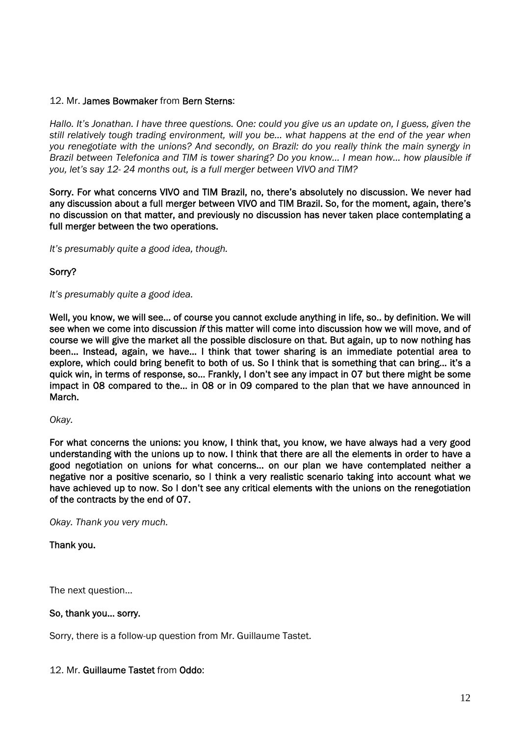#### 12. Mr. James Bowmaker from Bern Sterns:

*Hallo. It's Jonathan. I have three questions. One: could you give us an update on, I guess, given the still relatively tough trading environment, will you be… what happens at the end of the year when you renegotiate with the unions? And secondly, on Brazil: do you really think the main synergy in Brazil between Telefonica and TIM is tower sharing? Do you know… I mean how… how plausible if you, let's say 12- 24 months out, is a full merger between VIVO and TIM?* 

Sorry. For what concerns VIVO and TIM Brazil, no, there's absolutely no discussion. We never had any discussion about a full merger between VIVO and TIM Brazil. So, for the moment, again, there's no discussion on that matter, and previously no discussion has never taken place contemplating a full merger between the two operations.

*It's presumably quite a good idea, though.* 

# Sorry?

*It's presumably quite a good idea.* 

Well, you know, we will see… of course you cannot exclude anything in life, so.. by definition. We will see when we come into discussion *if* this matter will come into discussion how we will move, and of course we will give the market all the possible disclosure on that. But again, up to now nothing has been… Instead, again, we have… I think that tower sharing is an immediate potential area to explore, which could bring benefit to both of us. So I think that is something that can bring… it's a quick win, in terms of response, so… Frankly, I don't see any impact in 07 but there might be some impact in 08 compared to the… in 08 or in 09 compared to the plan that we have announced in March.

*Okay.* 

For what concerns the unions: you know, I think that, you know, we have always had a very good understanding with the unions up to now. I think that there are all the elements in order to have a good negotiation on unions for what concerns… on our plan we have contemplated neither a negative nor a positive scenario, so I think a very realistic scenario taking into account what we have achieved up to now. So I don't see any critical elements with the unions on the renegotiation of the contracts by the end of 07.

*Okay. Thank you very much.*

Thank you.

The next question…

#### So, thank you… sorry.

Sorry, there is a follow-up question from Mr. Guillaume Tastet.

#### 12. Mr. Guillaume Tastet from Oddo: